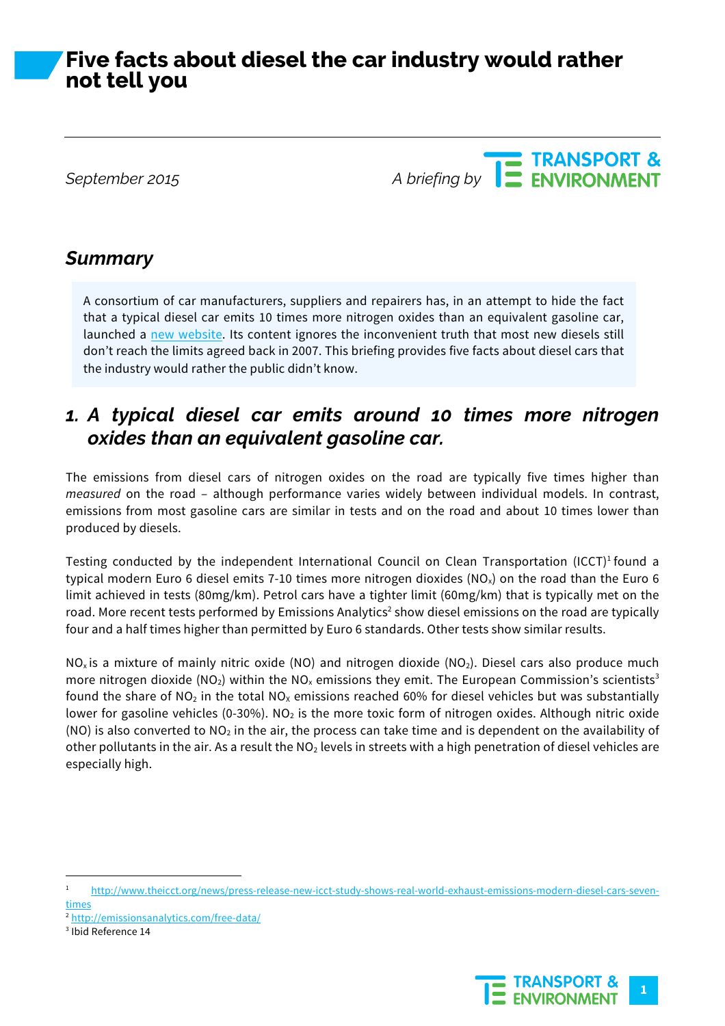# **Five facts about diesel the car industry would rather not tell you**

**September 2015**<br>A briefing by **CONSTANT ENVIRONMENT** 

## *Summary*

A consortium of car manufacturers, suppliers and repairers has, in an attempt to hide the fact that a typical diesel car emits 10 times more nitrogen oxides than an equivalent gasoline car, launched a new website. Its content ignores the inconvenient truth that most new diesels still don't reach the limits agreed back in 2007. This briefing provides five facts about diesel cars that the industry would rather the public didn't know.

### *1. A typical diesel car emits around 10 times more nitrogen oxides than an equivalent gasoline car.*

The emissions from diesel cars of nitrogen oxides on the road are typically five times higher than *measured* on the road – although performance varies widely between individual models. In contrast, emissions from most gasoline cars are similar in tests and on the road and about 10 times lower than produced by diesels.

Testing conducted by the independent International Council on Clean Transportation (ICCT)<sup>1</sup> found a typical modern Euro 6 diesel emits 7-10 times more nitrogen dioxides (NO<sub>x</sub>) on the road than the Euro 6 limit achieved in tests (80mg/km). Petrol cars have a tighter limit (60mg/km) that is typically met on the road. More recent tests performed by Emissions Analytics<sup>2</sup> show diesel emissions on the road are typically four and a half times higher than permitted by Euro 6 standards. Other tests show similar results.

 $NO<sub>x</sub>$  is a mixture of mainly nitric oxide (NO) and nitrogen dioxide (NO<sub>2</sub>). Diesel cars also produce much more nitrogen dioxide (NO<sub>2</sub>) within the NO<sub>x</sub> emissions they emit. The European Commission's scientists<sup>3</sup> found the share of NO<sub>2</sub> in the total NO<sub>x</sub> emissions reached 60% for diesel vehicles but was substantially lower for gasoline vehicles (0-30%). NO<sub>2</sub> is the more toxic form of nitrogen oxides. Although nitric oxide (NO) is also converted to  $NO<sub>2</sub>$  in the air, the process can take time and is dependent on the availability of other pollutants in the air. As a result the  $NO<sub>2</sub>$  levels in streets with a high penetration of diesel vehicles are especially high.



 <sup>1</sup> http://www.theicct.org/news/press-release-new-icct-study-shows-real-world-exhaust-emissions-modern-diesel-cars-seventimes

<sup>2</sup> http://emissionsanalytics.com/free-data/

<sup>3</sup> Ibid Reference 14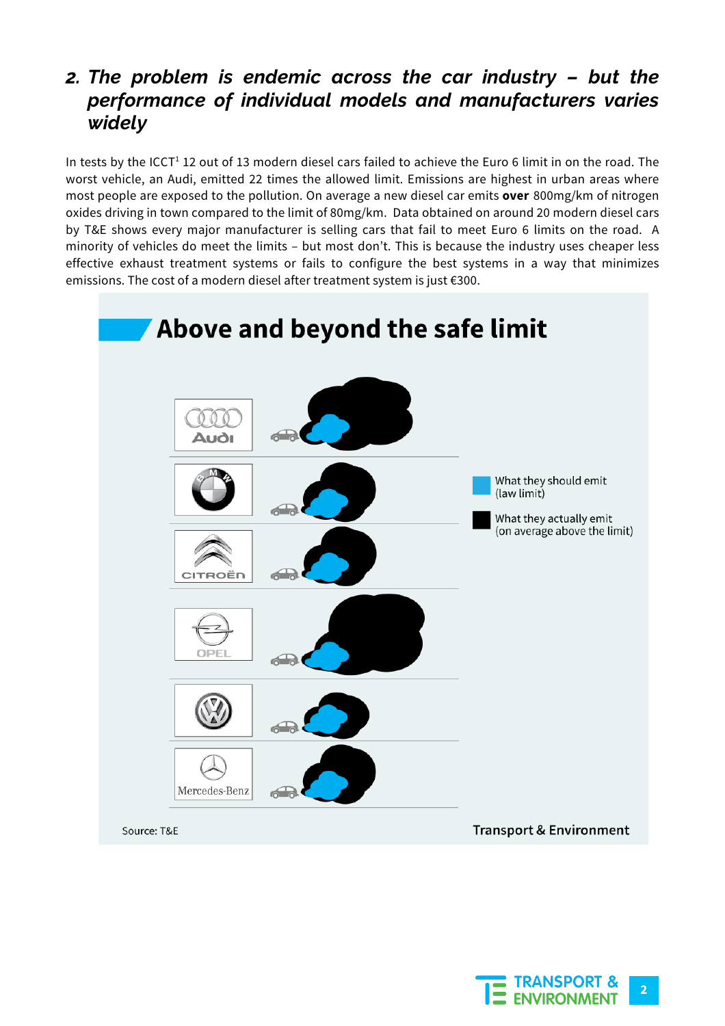## *2. The problem is endemic across the car industry – but the performance of individual models and manufacturers varies widely*

In tests by the ICCT<sup>1</sup> 12 out of 13 modern diesel cars failed to achieve the Euro 6 limit in on the road. The worst vehicle, an Audi, emitted 22 times the allowed limit. Emissions are highest in urban areas where most people are exposed to the pollution. On average a new diesel car emits **over** 800mg/km of nitrogen oxides driving in town compared to the limit of 80mg/km. Data obtained on around 20 modern diesel cars by T&E shows every major manufacturer is selling cars that fail to meet Euro 6 limits on the road. A minority of vehicles do meet the limits – but most don't. This is because the industry uses cheaper less effective exhaust treatment systems or fails to configure the best systems in a way that minimizes emissions. The cost of a modern diesel after treatment system is just €300.



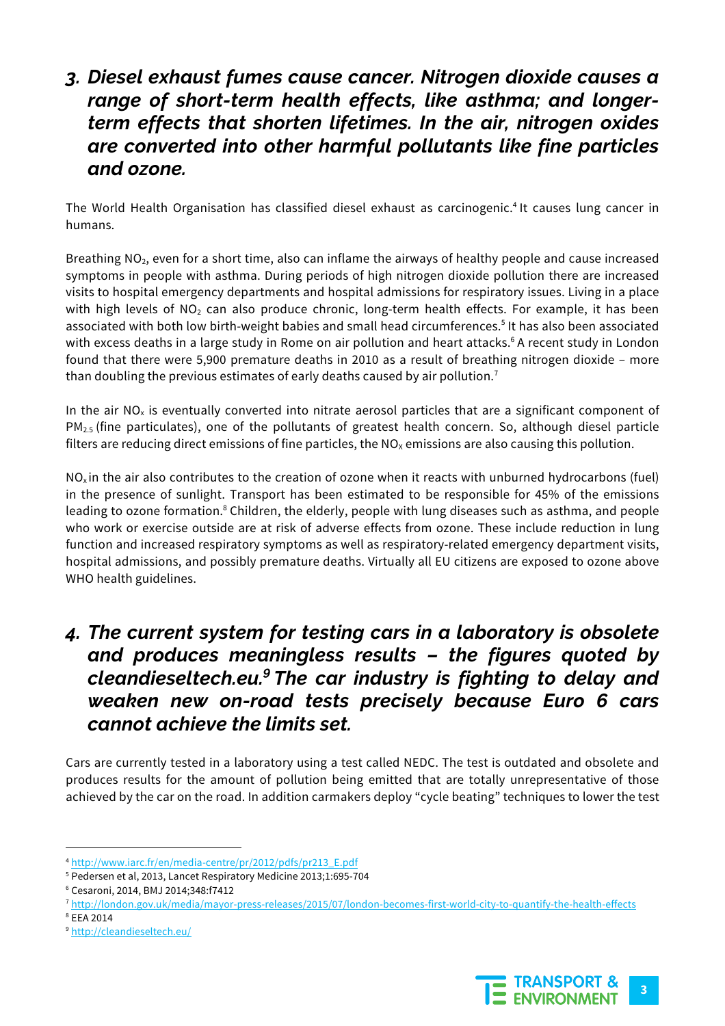### *3. Diesel exhaust fumes cause cancer. Nitrogen dioxide causes a range of short-term health effects, like asthma; and longerterm effects that shorten lifetimes. In the air, nitrogen oxides are converted into other harmful pollutants like fine particles and ozone.*

The World Health Organisation has classified diesel exhaust as carcinogenic.4 It causes lung cancer in humans.

Breathing NO<sub>2</sub>, even for a short time, also can inflame the airways of healthy people and cause increased symptoms in people with asthma. During periods of high nitrogen dioxide pollution there are increased visits to hospital emergency departments and hospital admissions for respiratory issues. Living in a place with high levels of  $NO<sub>2</sub>$  can also produce chronic, long-term health effects. For example, it has been associated with both low birth-weight babies and small head circumferences.<sup>5</sup> It has also been associated with excess deaths in a large study in Rome on air pollution and heart attacks.<sup>6</sup> A recent study in London found that there were 5,900 premature deaths in 2010 as a result of breathing nitrogen dioxide – more than doubling the previous estimates of early deaths caused by air pollution.<sup>7</sup>

In the air  $NO<sub>x</sub>$  is eventually converted into nitrate aerosol particles that are a significant component of  $PM_{2.5}$  (fine particulates), one of the pollutants of greatest health concern. So, although diesel particle filters are reducing direct emissions of fine particles, the  $NO<sub>x</sub>$  emissions are also causing this pollution.

 $NO<sub>x</sub>$  in the air also contributes to the creation of ozone when it reacts with unburned hydrocarbons (fuel) in the presence of sunlight. Transport has been estimated to be responsible for 45% of the emissions leading to ozone formation.<sup>8</sup> Children, the elderly, people with lung diseases such as asthma, and people who work or exercise outside are at risk of adverse effects from ozone. These include reduction in lung function and increased respiratory symptoms as well as respiratory-related emergency department visits, hospital admissions, and possibly premature deaths. Virtually all EU citizens are exposed to ozone above WHO health guidelines.

## *4. The current system for testing cars in a laboratory is obsolete and produces meaningless results – the figures quoted by cleandieseltech.eu.9 The car industry is fighting to delay and weaken new on-road tests precisely because Euro 6 cars cannot achieve the limits set.*

Cars are currently tested in a laboratory using a test called NEDC. The test is outdated and obsolete and produces results for the amount of pollution being emitted that are totally unrepresentative of those achieved by the car on the road. In addition carmakers deploy "cycle beating" techniques to lower the test



 <sup>4</sup> http://www.iarc.fr/en/media-centre/pr/2012/pdfs/pr213\_E.pdf

<sup>5</sup> Pedersen et al, 2013, Lancet Respiratory Medicine 2013;1:695-704

<sup>6</sup> Cesaroni, 2014, BMJ 2014;348:f7412

<sup>7</sup> http://london.gov.uk/media/mayor-press-releases/2015/07/london-becomes-first-world-city-to-quantify-the-health-effects

<sup>8</sup> EEA 2014

<sup>9</sup> http://cleandieseltech.eu/